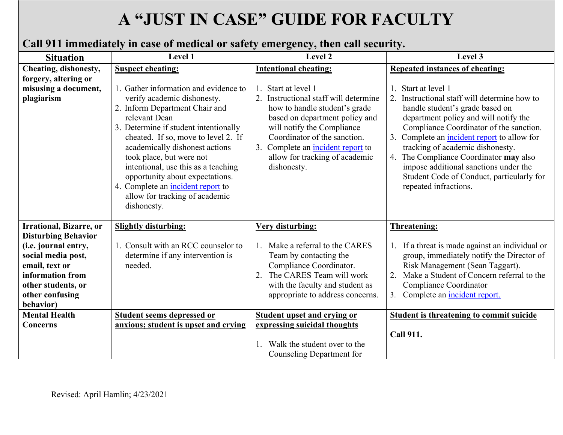# **A "JUST IN CASE" GUIDE FOR FACULTY**

# **Call 911 immediately in case of medical or safety emergency, then call security.**

| <b>Situation</b>                                           | Level 1                                                                                                                                                                                                                                                                                                                                                                                                                               | Level 2                                                                                                                                                                                                                                                                       | Level 3                                                                                                                                                                                                                                                                                                                                                                                                                                                        |
|------------------------------------------------------------|---------------------------------------------------------------------------------------------------------------------------------------------------------------------------------------------------------------------------------------------------------------------------------------------------------------------------------------------------------------------------------------------------------------------------------------|-------------------------------------------------------------------------------------------------------------------------------------------------------------------------------------------------------------------------------------------------------------------------------|----------------------------------------------------------------------------------------------------------------------------------------------------------------------------------------------------------------------------------------------------------------------------------------------------------------------------------------------------------------------------------------------------------------------------------------------------------------|
| Cheating, dishonesty,                                      | <b>Suspect cheating:</b>                                                                                                                                                                                                                                                                                                                                                                                                              | <b>Intentional cheating:</b>                                                                                                                                                                                                                                                  | <b>Repeated instances of cheating:</b>                                                                                                                                                                                                                                                                                                                                                                                                                         |
| forgery, altering or<br>misusing a document,<br>plagiarism | 1. Gather information and evidence to<br>verify academic dishonesty.<br>2. Inform Department Chair and<br>relevant Dean<br>3. Determine if student intentionally<br>cheated. If so, move to level 2. If<br>academically dishonest actions<br>took place, but were not<br>intentional, use this as a teaching<br>opportunity about expectations.<br>4. Complete an incident report to<br>allow for tracking of academic<br>dishonesty. | Start at level 1<br>Instructional staff will determine<br>how to handle student's grade<br>based on department policy and<br>will notify the Compliance<br>Coordinator of the sanction.<br>3. Complete an incident report to<br>allow for tracking of academic<br>dishonesty. | Start at level 1<br>Instructional staff will determine how to<br>$\overline{2}$ .<br>handle student's grade based on<br>department policy and will notify the<br>Compliance Coordinator of the sanction.<br>Complete an <i>incident report</i> to allow for<br>3.<br>tracking of academic dishonesty.<br>4. The Compliance Coordinator may also<br>impose additional sanctions under the<br>Student Code of Conduct, particularly for<br>repeated infractions. |
| <b>Irrational, Bizarre, or</b>                             | <b>Slightly disturbing:</b>                                                                                                                                                                                                                                                                                                                                                                                                           | Very disturbing:                                                                                                                                                                                                                                                              | <b>Threatening:</b>                                                                                                                                                                                                                                                                                                                                                                                                                                            |
| <b>Disturbing Behavior</b>                                 |                                                                                                                                                                                                                                                                                                                                                                                                                                       |                                                                                                                                                                                                                                                                               |                                                                                                                                                                                                                                                                                                                                                                                                                                                                |
| (i.e. journal entry,                                       | 1. Consult with an RCC counselor to                                                                                                                                                                                                                                                                                                                                                                                                   | 1. Make a referral to the CARES                                                                                                                                                                                                                                               | 1. If a threat is made against an individual or                                                                                                                                                                                                                                                                                                                                                                                                                |
| social media post,<br>email, text or                       | determine if any intervention is<br>needed.                                                                                                                                                                                                                                                                                                                                                                                           | Team by contacting the<br>Compliance Coordinator.                                                                                                                                                                                                                             | group, immediately notify the Director of<br>Risk Management (Sean Taggart).                                                                                                                                                                                                                                                                                                                                                                                   |
| information from                                           |                                                                                                                                                                                                                                                                                                                                                                                                                                       | 2. The CARES Team will work                                                                                                                                                                                                                                                   | Make a Student of Concern referral to the<br>2.                                                                                                                                                                                                                                                                                                                                                                                                                |
| other students, or                                         |                                                                                                                                                                                                                                                                                                                                                                                                                                       | with the faculty and student as                                                                                                                                                                                                                                               | Compliance Coordinator                                                                                                                                                                                                                                                                                                                                                                                                                                         |
| other confusing                                            |                                                                                                                                                                                                                                                                                                                                                                                                                                       | appropriate to address concerns.                                                                                                                                                                                                                                              | 3.<br>Complete an <i>incident report.</i>                                                                                                                                                                                                                                                                                                                                                                                                                      |
| behavior)                                                  |                                                                                                                                                                                                                                                                                                                                                                                                                                       |                                                                                                                                                                                                                                                                               |                                                                                                                                                                                                                                                                                                                                                                                                                                                                |
| <b>Mental Health</b>                                       | <b>Student seems depressed or</b>                                                                                                                                                                                                                                                                                                                                                                                                     | <b>Student upset and crying or</b>                                                                                                                                                                                                                                            | <b>Student is threatening to commit suicide</b>                                                                                                                                                                                                                                                                                                                                                                                                                |
| <b>Concerns</b>                                            | anxious; student is upset and crying                                                                                                                                                                                                                                                                                                                                                                                                  | expressing suicidal thoughts                                                                                                                                                                                                                                                  |                                                                                                                                                                                                                                                                                                                                                                                                                                                                |
|                                                            |                                                                                                                                                                                                                                                                                                                                                                                                                                       | Walk the student over to the                                                                                                                                                                                                                                                  | <b>Call 911.</b>                                                                                                                                                                                                                                                                                                                                                                                                                                               |
|                                                            |                                                                                                                                                                                                                                                                                                                                                                                                                                       | Counseling Department for                                                                                                                                                                                                                                                     |                                                                                                                                                                                                                                                                                                                                                                                                                                                                |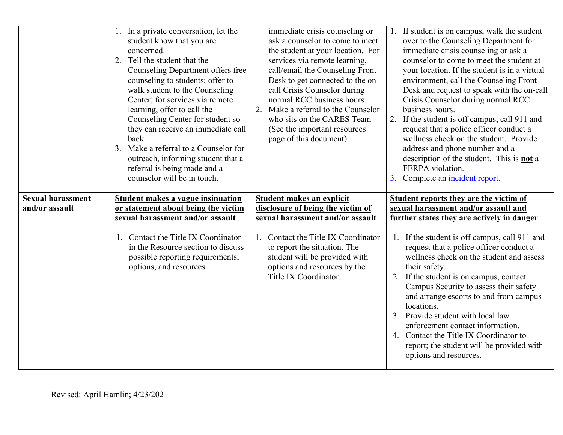|                                            | 1. In a private conversation, let the<br>student know that you are<br>concerned.<br>Tell the student that the<br>2.<br>Counseling Department offers free<br>counseling to students; offer to<br>walk student to the Counseling<br>Center; for services via remote<br>learning, offer to call the<br>Counseling Center for student so<br>they can receive an immediate call<br>back.<br>Make a referral to a Counselor for<br>3.<br>outreach, informing student that a<br>referral is being made and a<br>counselor will be in touch. | immediate crisis counseling or<br>ask a counselor to come to meet<br>the student at your location. For<br>services via remote learning,<br>call/email the Counseling Front<br>Desk to get connected to the on-<br>call Crisis Counselor during<br>normal RCC business hours.<br>Make a referral to the Counselor<br>2.<br>who sits on the CARES Team<br>(See the important resources<br>page of this document). | 1. If student is on campus, walk the student<br>over to the Counseling Department for<br>immediate crisis counseling or ask a<br>counselor to come to meet the student at<br>your location. If the student is in a virtual<br>environment, call the Counseling Front<br>Desk and request to speak with the on-call<br>Crisis Counselor during normal RCC<br>business hours.<br>2. If the student is off campus, call 911 and<br>request that a police officer conduct a<br>wellness check on the student. Provide<br>address and phone number and a<br>description of the student. This is <b>not</b> a<br>FERPA violation.<br>3. Complete an incident report. |
|--------------------------------------------|--------------------------------------------------------------------------------------------------------------------------------------------------------------------------------------------------------------------------------------------------------------------------------------------------------------------------------------------------------------------------------------------------------------------------------------------------------------------------------------------------------------------------------------|-----------------------------------------------------------------------------------------------------------------------------------------------------------------------------------------------------------------------------------------------------------------------------------------------------------------------------------------------------------------------------------------------------------------|----------------------------------------------------------------------------------------------------------------------------------------------------------------------------------------------------------------------------------------------------------------------------------------------------------------------------------------------------------------------------------------------------------------------------------------------------------------------------------------------------------------------------------------------------------------------------------------------------------------------------------------------------------------|
| <b>Sexual harassment</b><br>and/or assault | <b>Student makes a vague insinuation</b><br>or statement about being the victim                                                                                                                                                                                                                                                                                                                                                                                                                                                      | <b>Student makes an explicit</b><br>disclosure of being the victim of                                                                                                                                                                                                                                                                                                                                           | <b>Student reports they are the victim of</b><br>sexual harassment and/or assault and                                                                                                                                                                                                                                                                                                                                                                                                                                                                                                                                                                          |
|                                            | sexual harassment and/or assault                                                                                                                                                                                                                                                                                                                                                                                                                                                                                                     | sexual harassment and/or assault                                                                                                                                                                                                                                                                                                                                                                                | <u>further states they are actively in danger</u>                                                                                                                                                                                                                                                                                                                                                                                                                                                                                                                                                                                                              |
|                                            | 1. Contact the Title IX Coordinator<br>in the Resource section to discuss<br>possible reporting requirements,<br>options, and resources.                                                                                                                                                                                                                                                                                                                                                                                             | Contact the Title IX Coordinator<br>to report the situation. The<br>student will be provided with<br>options and resources by the<br>Title IX Coordinator.                                                                                                                                                                                                                                                      | If the student is off campus, call 911 and<br>1.<br>request that a police officer conduct a<br>wellness check on the student and assess<br>their safety.<br>2. If the student is on campus, contact<br>Campus Security to assess their safety<br>and arrange escorts to and from campus<br>locations.<br>3. Provide student with local law<br>enforcement contact information.<br>4. Contact the Title IX Coordinator to<br>report; the student will be provided with                                                                                                                                                                                          |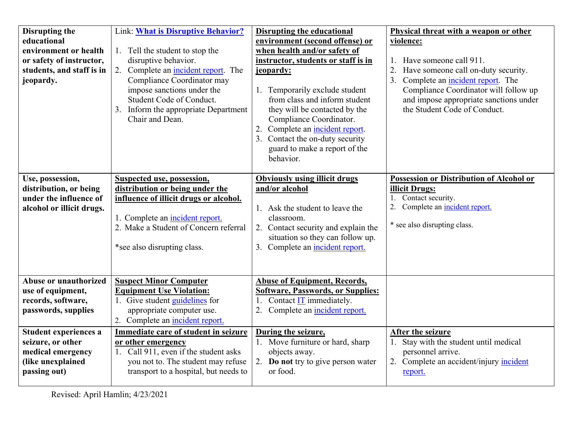| Disrupting the<br>educational<br>environment or health<br>or safety of instructor,<br>students, and staff is in<br>jeopardy.                                                                    | <b>Link: What is Disruptive Behavior?</b><br>1. Tell the student to stop the<br>disruptive behavior.<br>2. Complete an incident report. The<br>Compliance Coordinator may<br>impose sanctions under the<br>Student Code of Conduct.<br>3. Inform the appropriate Department<br>Chair and Dean.                                                           | <b>Disrupting the educational</b><br>environment (second offense) or<br>when health and/or safety of<br>instructor, students or staff is in<br>jeopardy:<br>Temporarily exclude student<br>from class and inform student<br>they will be contacted by the<br>Compliance Coordinator.<br>Complete an incident report.<br>3. Contact the on-duty security<br>guard to make a report of the<br>behavior. | Physical threat with a weapon or other<br>violence:<br>1. Have someone call 911.<br>Have someone call on-duty security.<br>Complete an incident report. The<br>3.<br>Compliance Coordinator will follow up<br>and impose appropriate sanctions under<br>the Student Code of Conduct. |
|-------------------------------------------------------------------------------------------------------------------------------------------------------------------------------------------------|----------------------------------------------------------------------------------------------------------------------------------------------------------------------------------------------------------------------------------------------------------------------------------------------------------------------------------------------------------|-------------------------------------------------------------------------------------------------------------------------------------------------------------------------------------------------------------------------------------------------------------------------------------------------------------------------------------------------------------------------------------------------------|--------------------------------------------------------------------------------------------------------------------------------------------------------------------------------------------------------------------------------------------------------------------------------------|
| Use, possession,<br>distribution, or being<br>under the influence of<br>alcohol or illicit drugs.                                                                                               | <b>Suspected use, possession,</b><br>distribution or being under the<br>influence of illicit drugs or alcohol.<br>1. Complete an incident report.<br>2. Make a Student of Concern referral<br>*see also disrupting class.                                                                                                                                | <b>Obviously using illicit drugs</b><br>and/or alcohol<br>1. Ask the student to leave the<br>classroom.<br>2. Contact security and explain the<br>situation so they can follow up.<br>3. Complete an incident report.                                                                                                                                                                                 | Possession or Distribution of Alcohol or<br><b>illicit Drugs:</b><br>1. Contact security.<br>2. Complete an incident report.<br>* see also disrupting class.                                                                                                                         |
| Abuse or unauthorized<br>use of equipment,<br>records, software,<br>passwords, supplies<br>Student experiences a<br>seizure, or other<br>medical emergency<br>(like unexplained<br>passing out) | <b>Suspect Minor Computer</b><br><b>Equipment Use Violation:</b><br>1. Give student guidelines for<br>appropriate computer use.<br>2. Complete an incident report.<br>Immediate care of student in seizure<br>or other emergency<br>1. Call 911, even if the student asks<br>you not to. The student may refuse<br>transport to a hospital, but needs to | <b>Abuse of Equipment, Records,</b><br><b>Software, Passwords, or Supplies:</b><br>1. Contact $IT$ immediately.<br>Complete an incident report.<br>During the seizure,<br>1. Move furniture or hard, sharp<br>objects away.<br>2. Do not try to give person water<br>or food.                                                                                                                         | After the seizure<br>1. Stay with the student until medical<br>personnel arrive.<br>2. Complete an accident/injury incident<br>report.                                                                                                                                               |

Revised: April Hamlin; 4/23/2021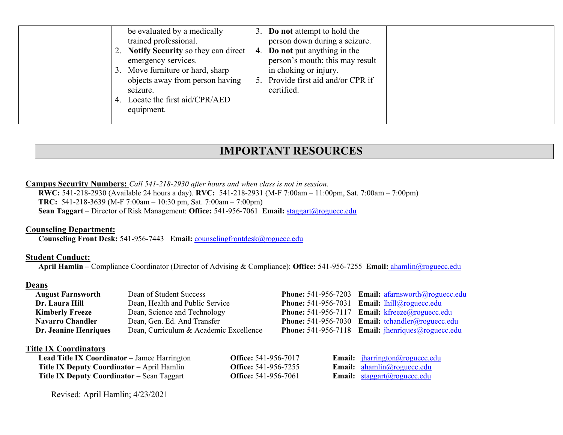| be evaluated by a medically                   | 3. Do not attempt to hold the                       |
|-----------------------------------------------|-----------------------------------------------------|
| trained professional.                         | person down during a seizure.                       |
| 2. Notify Security so they can direct         | 4. Do not put anything in the                       |
| emergency services.                           | person's mouth; this may result                     |
| 3. Move furniture or hard, sharp              | in choking or injury.                               |
| objects away from person having<br>seizure.   | Provide first aid and/or CPR if<br>5.<br>certified. |
| 4. Locate the first aid/CPR/AED<br>equipment. |                                                     |

## **IMPORTANT RESOURCES**

#### **Campus Security Numbers:** *Call 541-218-2930 after hours and when class is not in session.*

 **RWC:** 541-218-2930 (Available 24 hours a day). **RVC:** 541-218-2931 (M-F 7:00am – 11:00pm, Sat. 7:00am – 7:00pm) **TRC:** 541-218-3639 (M-F 7:00am – 10:30 pm, Sat. 7:00am – 7:00pm) **Sean Taggart** – Director of Risk Management: **Office:** 541-956-7061 **Email:** [staggart@roguecc.edu](mailto:staggart@roguecc.edu) 

#### **Counseling Department:**

**Counseling Front Desk:** 541-956-7443 **Email:** [counselingfrontdesk@roguecc.edu](mailto:counselingfrontdesk@roguecc.edu) 

#### **Student Conduct:**

 **Student Conduct: April Hamlin –** Compliance Coordinator (Director of Advising & Compliance): **Office:** 541-956-7255 **Email:** [ahamlin@roguecc.edu](mailto:ahamlin@roguecc.edu) 

#### **Deans**

| <b>August Farnsworth</b> | Dean of Student Success                | <b>Phone:</b> 541-956-7203 Email: afarnsworth@roguecc.edu                                                                                                                                                                                                                                                                                                                                                                                                      |
|--------------------------|----------------------------------------|----------------------------------------------------------------------------------------------------------------------------------------------------------------------------------------------------------------------------------------------------------------------------------------------------------------------------------------------------------------------------------------------------------------------------------------------------------------|
| Dr. Laura Hill           | Dean, Health and Public Service        | <b>Phone:</b> 541-956-7031 <b>Email:</b> $\frac{1 \text{hill}(\text{a}) \text{roguecc.edu}}{1 \text{m} \cdot \text{m} \cdot \text{m} \cdot \text{m} \cdot \text{m} \cdot \text{m} \cdot \text{m} \cdot \text{m} \cdot \text{m} \cdot \text{m} \cdot \text{m} \cdot \text{m} \cdot \text{m} \cdot \text{m} \cdot \text{m} \cdot \text{m} \cdot \text{m} \cdot \text{m} \cdot \text{m} \cdot \text{m} \cdot \text{m} \cdot \text{m} \cdot \text{m} \cdot \text{$ |
| <b>Kimberly Freeze</b>   | Dean, Science and Technology           | <b>Phone:</b> 541-956-7117 <b>Email:</b> $k \text{freeze}(a)$ roguecc.edu                                                                                                                                                                                                                                                                                                                                                                                      |
| <b>Navarro Chandler</b>  | Dean, Gen. Ed. And Transfer            | <b>Phone:</b> 541-956-7030 <b>Email:</b> $t$ chandler@roguecc.edu                                                                                                                                                                                                                                                                                                                                                                                              |
| Dr. Jeanine Henriques    | Dean, Curriculum & Academic Excellence | <b>Phone:</b> 541-956-7118 <b>Email:</b> $ihenriques@roguecc.edu$                                                                                                                                                                                                                                                                                                                                                                                              |

#### **Title IX Coordinators**

| <b>Lead Title IX Coordinator</b> – Jamee Harrington | <b>Office:</b> 541-956-7017 | Email: <i>jharrington@roguecc.edu</i>                                                             |
|-----------------------------------------------------|-----------------------------|---------------------------------------------------------------------------------------------------|
| <b>Title IX Deputy Coordinator – April Hamlin</b>   | <b>Office:</b> 541-956-7255 | <b>Email:</b> $\frac{\text{ahamlin}(a) \text{roquecc.edu}}{\text{ahamlin}(a) \text{roquecc.edu}}$ |
| <b>Title IX Deputy Coordinator – Sean Taggart</b>   | <b>Office:</b> 541-956-7061 | <b>Email:</b> $\frac{\text{stagger}(a)\text{roqueue.c.}}{\text{stat}}$                            |

Revised: April Hamlin; 4/23/2021